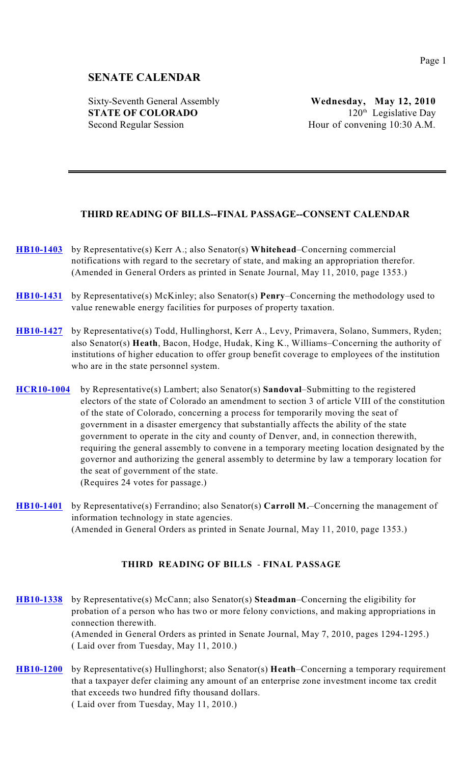# **SENATE CALENDAR**

Sixty-Seventh General Assembly **Wednesday, May 12, 2010 STATE OF COLORADO** 120<sup>th</sup> Legislative Day Second Regular Session Hour of convening 10:30 A.M.

## **THIRD READING OF BILLS--FINAL PASSAGE--CONSENT CALENDAR**

- **[HB10-1403](http://www.leg.state.co.us/clics/clics2010a/csl.nsf/fsbillcont3/04B8A293CA8FD10D872576EF00690E5C?Open&file=1403_rev.pdf)** by Representative(s) Kerr A.; also Senator(s) **Whitehead**–Concerning commercial notifications with regard to the secretary of state, and making an appropriation therefor. (Amended in General Orders as printed in Senate Journal, May 11, 2010, page 1353.)
- **[HB10-1431](http://www.leg.state.co.us/clics/clics2010a/csl.nsf/fsbillcont3/D541A0C8172599AC87257715006590F3?Open&file=1431_rev.pdf)** by Representative(s) McKinley; also Senator(s) **Penry**–Concerning the methodology used to value renewable energy facilities for purposes of property taxation.
- **[HB10-1427](http://www.leg.state.co.us/clics/clics2010a/csl.nsf/fsbillcont3/F1B1DC0427065AA38725770C00741D01?Open&file=1427_rev.pdf)** by Representative(s) Todd, Hullinghorst, Kerr A., Levy, Primavera, Solano, Summers, Ryden; also Senator(s) **Heath**, Bacon, Hodge, Hudak, King K., Williams–Concerning the authority of institutions of higher education to offer group benefit coverage to employees of the institution who are in the state personnel system.
- **[HCR10-1004](http://www.leg.state.co.us/clics/clics2010a/csl.nsf/fsbillcont3/1724FA21EDCF422C872576CB007FA92B?Open&file=HCR1004_rv2.pdf)** by Representative(s) Lambert; also Senator(s) **Sandoval**–Submitting to the registered electors of the state of Colorado an amendment to section 3 of article VIII of the constitution of the state of Colorado, concerning a process for temporarily moving the seat of government in a disaster emergency that substantially affects the ability of the state government to operate in the city and county of Denver, and, in connection therewith, requiring the general assembly to convene in a temporary meeting location designated by the governor and authorizing the general assembly to determine by law a temporary location for the seat of government of the state. (Requires 24 votes for passage.)
- **[HB10-1401](http://www.leg.state.co.us/clics/clics2010a/csl.nsf/fsbillcont3/9C49C23D99146761872576EA0074444A?Open&file=1401_rev.pdf)** by Representative(s) Ferrandino; also Senator(s) **Carroll M.**–Concerning the management of information technology in state agencies. (Amended in General Orders as printed in Senate Journal, May 11, 2010, page 1353.)

#### **THIRD READING OF BILLS** - **FINAL PASSAGE**

**[HB10-1338](http://www.leg.state.co.us/clics/clics2010a/csl.nsf/fsbillcont3/AD85D0617C7735D7872576B80070EB53?Open&file=1338_rev.pdf)** by Representative(s) McCann; also Senator(s) **Steadman**–Concerning the eligibility for probation of a person who has two or more felony convictions, and making appropriations in connection therewith. (Amended in General Orders as printed in Senate Journal, May 7, 2010, pages 1294-1295.) ( Laid over from Tuesday, May 11, 2010.)

**[HB10-1200](http://www.leg.state.co.us/clics/clics2010a/csl.nsf/fsbillcont3/BFC36D0AB9089AE5872576A80026BF9A?Open&file=1200_rev.pdf)** by Representative(s) Hullinghorst; also Senator(s) **Heath**–Concerning a temporary requirement that a taxpayer defer claiming any amount of an enterprise zone investment income tax credit that exceeds two hundred fifty thousand dollars. ( Laid over from Tuesday, May 11, 2010.)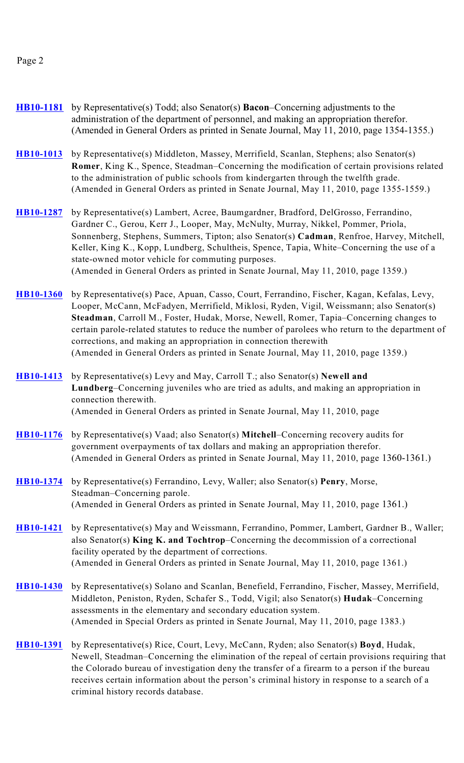#### Page 2

- **[HB10-1181](http://www.leg.state.co.us/clics/clics2010a/csl.nsf/fsbillcont3/50B0A8ECF8E03598872576AA007CBC3E?Open&file=1181_rev.pdf)** by Representative(s) Todd; also Senator(s) **Bacon**–Concerning adjustments to the administration of the department of personnel, and making an appropriation therefor. (Amended in General Orders as printed in Senate Journal, May 11, 2010, page 1354-1355.)
- **[HB10-1013](http://www.leg.state.co.us/clics/clics2010a/csl.nsf/fsbillcont3/9680CFDB4509BE9D872576A800285E7A?Open&file=1013_rev.pdf)** by Representative(s) Middleton, Massey, Merrifield, Scanlan, Stephens; also Senator(s) **Romer**, King K., Spence, Steadman–Concerning the modification of certain provisions related to the administration of public schools from kindergarten through the twelfth grade. (Amended in General Orders as printed in Senate Journal, May 11, 2010, page 1355-1559.)
- **[HB10-1287](http://www.leg.state.co.us/clics/clics2010a/csl.nsf/fsbillcont3/0B90254BA7CE9C7E872576AB006E1680?Open&file=1287_rev.pdf)** by Representative(s) Lambert, Acree, Baumgardner, Bradford, DelGrosso, Ferrandino, Gardner C., Gerou, Kerr J., Looper, May, McNulty, Murray, Nikkel, Pommer, Priola, Sonnenberg, Stephens, Summers, Tipton; also Senator(s) **Cadman**, Renfroe, Harvey, Mitchell, Keller, King K., Kopp, Lundberg, Schultheis, Spence, Tapia, White–Concerning the use of a state-owned motor vehicle for commuting purposes. (Amended in General Orders as printed in Senate Journal, May 11, 2010, page 1359.)
- **[HB10-1360](http://www.leg.state.co.us/clics/clics2010a/csl.nsf/fsbillcont3/E1BCEF14BFB7AE6D872576BF0075BAAA?Open&file=1360_rev.pdf)** by Representative(s) Pace, Apuan, Casso, Court, Ferrandino, Fischer, Kagan, Kefalas, Levy, Looper, McCann, McFadyen, Merrifield, Miklosi, Ryden, Vigil, Weissmann; also Senator(s) **Steadman**, Carroll M., Foster, Hudak, Morse, Newell, Romer, Tapia–Concerning changes to certain parole-related statutes to reduce the number of parolees who return to the department of corrections, and making an appropriation in connection therewith (Amended in General Orders as printed in Senate Journal, May 11, 2010, page 1359.)
- **[HB10-1413](http://www.leg.state.co.us/clics/clics2010a/csl.nsf/fsbillcont3/A49AF845C0A4291A872576D2008110BE?Open&file=1413_rev.pdf)** by Representative(s) Levy and May, Carroll T.; also Senator(s) **Newell and Lundberg**–Concerning juveniles who are tried as adults, and making an appropriation in connection therewith. (Amended in General Orders as printed in Senate Journal, May 11, 2010, page
- **[HB10-1176](http://www.leg.state.co.us/clics/clics2010a/csl.nsf/fsbillcont3/86037E8941DB7E2A872576A80029D88E?Open&file=1176_rev.pdf)** by Representative(s) Vaad; also Senator(s) **Mitchell**–Concerning recovery audits for government overpayments of tax dollars and making an appropriation therefor. (Amended in General Orders as printed in Senate Journal, May 11, 2010, page 1360-1361.)
- **[HB10-1374](http://www.leg.state.co.us/clics/clics2010a/csl.nsf/fsbillcont3/613593E17756B084872576CD005378DE?Open&file=1374_rev.pdf)** by Representative(s) Ferrandino, Levy, Waller; also Senator(s) **Penry**, Morse, Steadman–Concerning parole. (Amended in General Orders as printed in Senate Journal, May 11, 2010, page 1361.)
- **[HB10-1421](http://www.leg.state.co.us/clics/clics2010a/csl.nsf/fsbillcont3/339E0AE2872C2E14872576F600525464?Open&file=1421_rev.pdf)** by Representative(s) May and Weissmann, Ferrandino, Pommer, Lambert, Gardner B., Waller; also Senator(s) **King K. and Tochtrop**–Concerning the decommission of a correctional facility operated by the department of corrections. (Amended in General Orders as printed in Senate Journal, May 11, 2010, page 1361.)
- **[HB10-1430](http://www.leg.state.co.us/clics/clics2010a/csl.nsf/fsbillcont3/082C3275422712CA872576AA006937C0?Open&file=1430_rev.pdf)** by Representative(s) Solano and Scanlan, Benefield, Ferrandino, Fischer, Massey, Merrifield, Middleton, Peniston, Ryden, Schafer S., Todd, Vigil; also Senator(s) **Hudak**–Concerning assessments in the elementary and secondary education system. (Amended in Special Orders as printed in Senate Journal, May 11, 2010, page 1383.)
- **[HB10-1391](http://www.leg.state.co.us/clics/clics2010a/csl.nsf/fsbillcont3/C1959E96A707A9D3872576E00073BDEA?Open&file=1391_rev.pdf)** by Representative(s) Rice, Court, Levy, McCann, Ryden; also Senator(s) **Boyd**, Hudak, Newell, Steadman–Concerning the elimination of the repeal of certain provisions requiring that the Colorado bureau of investigation deny the transfer of a firearm to a person if the bureau receives certain information about the person's criminal history in response to a search of a criminal history records database.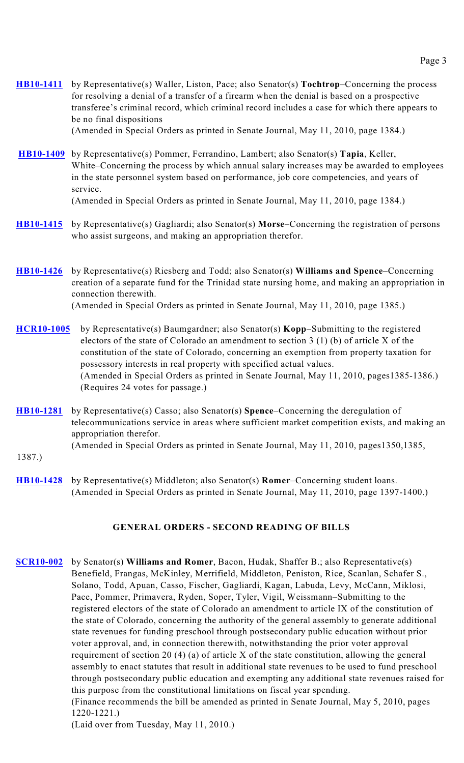**[HB10-1411](http://www.leg.state.co.us/clics/clics2010a/csl.nsf/fsbillcont3/7981210326AC99A78725770500643A6B?Open&file=1411_rev.pdf)** by Representative(s) Waller, Liston, Pace; also Senator(s) **Tochtrop**–Concerning the process for resolving a denial of a transfer of a firearm when the denial is based on a prospective transferee's criminal record, which criminal record includes a case for which there appears to be no final dispositions

(Amended in Special Orders as printed in Senate Journal, May 11, 2010, page 1384.)

**[HB10-1409](http://www.leg.state.co.us/clics/clics2010a/csl.nsf/fsbillcont3/D19B1BB9CB00AB17872576BD0076F7D0?Open&file=1409_rev.pdf)** by Representative(s) Pommer, Ferrandino, Lambert; also Senator(s) **Tapia**, Keller, White–Concerning the process by which annual salary increases may be awarded to employees in the state personnel system based on performance, job core competencies, and years of service.

(Amended in Special Orders as printed in Senate Journal, May 11, 2010, page 1384.)

- **[HB10-1415](http://www.leg.state.co.us/clics/clics2010a/csl.nsf/fsbillcont3/F373F55FAD2723E1872576D50070C985?Open&file=1415_rev.pdf)** by Representative(s) Gagliardi; also Senator(s) **Morse**–Concerning the registration of persons who assist surgeons, and making an appropriation therefor.
- **[HB10-1426](http://www.leg.state.co.us/clics/clics2010a/csl.nsf/fsbillcont3/BEDD8761824EE40A8725770A007F58AB?Open&file=1426_rev.pdf)** by Representative(s) Riesberg and Todd; also Senator(s) **Williams and Spence**–Concerning creation of a separate fund for the Trinidad state nursing home, and making an appropriation in connection therewith. (Amended in Special Orders as printed in Senate Journal, May 11, 2010, page 1385.)
- **[HCR10-1005](http://www.leg.state.co.us/clics/clics2010a/csl.nsf/fsbillcont3/D73FEC158A32B217872576A80026B9CC?Open&file=HCR1005_rv2.pdf)** by Representative(s) Baumgardner; also Senator(s) **Kopp**–Submitting to the registered electors of the state of Colorado an amendment to section 3 (1) (b) of article X of the constitution of the state of Colorado, concerning an exemption from property taxation for possessory interests in real property with specified actual values. (Amended in Special Orders as printed in Senate Journal, May 11, 2010, pages1385-1386.) (Requires 24 votes for passage.)
- **[HB10-1281](http://www.leg.state.co.us/clics/clics2010a/csl.nsf/fsbillcont3/120F67478936EC31872576B10060898F?Open&file=1281_rev.pdf)** by Representative(s) Casso; also Senator(s) **Spence**–Concerning the deregulation of telecommunications service in areas where sufficient market competition exists, and making an appropriation therefor. (Amended in Special Orders as printed in Senate Journal, May 11, 2010, pages1350,1385,
- 1387.)
- **[HB10-1428](http://www.leg.state.co.us/clics/clics2010a/csl.nsf/fsbillcont3/153CD9880D3FB38E872576C00063AD04?Open&file=1428_rev.pdf)** by Representative(s) Middleton; also Senator(s) **Romer**–Concerning student loans. (Amended in Special Orders as printed in Senate Journal, May 11, 2010, page 1397-1400.)

## **GENERAL ORDERS - SECOND READING OF BILLS**

**[SCR10-002](http://www.leg.state.co.us/clics/clics2010a/csl.nsf/fsbillcont3/69C272C53AC9C7C4872576EE00712750?Open&file=SCR002_01.pdf)** by Senator(s) **Williams and Romer**, Bacon, Hudak, Shaffer B.; also Representative(s) Benefield, Frangas, McKinley, Merrifield, Middleton, Peniston, Rice, Scanlan, Schafer S., Solano, Todd, Apuan, Casso, Fischer, Gagliardi, Kagan, Labuda, Levy, McCann, Miklosi, Pace, Pommer, Primavera, Ryden, Soper, Tyler, Vigil, Weissmann–Submitting to the registered electors of the state of Colorado an amendment to article IX of the constitution of the state of Colorado, concerning the authority of the general assembly to generate additional state revenues for funding preschool through postsecondary public education without prior voter approval, and, in connection therewith, notwithstanding the prior voter approval requirement of section 20 (4) (a) of article X of the state constitution, allowing the general assembly to enact statutes that result in additional state revenues to be used to fund preschool through postsecondary public education and exempting any additional state revenues raised for this purpose from the constitutional limitations on fiscal year spending. (Finance recommends the bill be amended as printed in Senate Journal, May 5, 2010, pages

1220-1221.)

(Laid over from Tuesday, May 11, 2010.)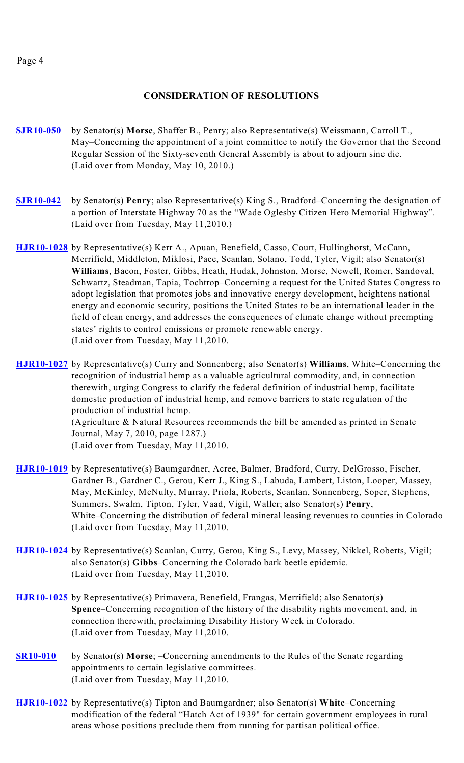#### Page 4

## **CONSIDERATION OF RESOLUTIONS**

- **[SJR10-050](http://www.leg.state.co.us/clics/clics2010a/csl.nsf/fsbillcont3/D400909F23F05CD287257718005D7C98?Open&file=SJR050_01.pdf)** by Senator(s) **Morse**, Shaffer B., Penry; also Representative(s) Weissmann, Carroll T., May–Concerning the appointment of a joint committee to notify the Governor that the Second Regular Session of the Sixty-seventh General Assembly is about to adjourn sine die. (Laid over from Monday, May 10, 2010.)
- **[SJR10-042](http://www.leg.state.co.us/clics/clics2010a/csl.nsf/fsbillcont3/057D7BE609FF189E872576CB0081ACC7?Open&file=SJR042_01.pdf)** by Senator(s) **Penry**; also Representative(s) King S., Bradford–Concerning the designation of a portion of Interstate Highway 70 as the "Wade Oglesby Citizen Hero Memorial Highway". (Laid over from Tuesday, May 11,2010.)
- **[HJR10-1028](http://www.leg.state.co.us/clics/clics2010a/csl.nsf/fsbillcont3/1E645E02E361067F872576DD00768A1D?Open&file=HJR1028_en2.pdf)** by Representative(s) Kerr A., Apuan, Benefield, Casso, Court, Hullinghorst, McCann, Merrifield, Middleton, Miklosi, Pace, Scanlan, Solano, Todd, Tyler, Vigil; also Senator(s) **Williams**, Bacon, Foster, Gibbs, Heath, Hudak, Johnston, Morse, Newell, Romer, Sandoval, Schwartz, Steadman, Tapia, Tochtrop–Concerning a request for the United States Congress to adopt legislation that promotes jobs and innovative energy development, heightens national energy and economic security, positions the United States to be an international leader in the field of clean energy, and addresses the consequences of climate change without preempting states' rights to control emissions or promote renewable energy. (Laid over from Tuesday, May 11,2010.

**[HJR10-1027](http://www.leg.state.co.us/clics/clics2010a/csl.nsf/fsbillcont3/3460B33B43E107BB8725770600675732?Open&file=HJR1027_en2.pdf)** by Representative(s) Curry and Sonnenberg; also Senator(s) **Williams**, White–Concerning the recognition of industrial hemp as a valuable agricultural commodity, and, in connection therewith, urging Congress to clarify the federal definition of industrial hemp, facilitate domestic production of industrial hemp, and remove barriers to state regulation of the production of industrial hemp. (Agriculture & Natural Resources recommends the bill be amended as printed in Senate Journal, May 7, 2010, page 1287.)

(Laid over from Tuesday, May 11,2010.

- **[HJR10-1019](http://www.leg.state.co.us/clics/clics2010a/csl.nsf/fsbillcont3/5B9A776C8FAB40C6872576CC007E806E?Open&file=HJR1019_en2.pdf)** by Representative(s) Baumgardner, Acree, Balmer, Bradford, Curry, DelGrosso, Fischer, Gardner B., Gardner C., Gerou, Kerr J., King S., Labuda, Lambert, Liston, Looper, Massey, May, McKinley, McNulty, Murray, Priola, Roberts, Scanlan, Sonnenberg, Soper, Stephens, Summers, Swalm, Tipton, Tyler, Vaad, Vigil, Waller; also Senator(s) **Penry**, White–Concerning the distribution of federal mineral leasing revenues to counties in Colorado (Laid over from Tuesday, May 11,2010.
- **[HJR10-1024](http://www.leg.state.co.us/clics/clics2010a/csl.nsf/fsbillcont3/FDECD93001533A8F872576CE0075687E?Open&file=HJR1024_en2.pdf)** by Representative(s) Scanlan, Curry, Gerou, King S., Levy, Massey, Nikkel, Roberts, Vigil; also Senator(s) **Gibbs**–Concerning the Colorado bark beetle epidemic. (Laid over from Tuesday, May 11,2010.
- **[HJR10-1025](http://www.leg.state.co.us/clics/clics2010a/csl.nsf/fsbillcont3/716FDDFF193810EC87257705007055D3?Open&file=HJR1025_en4.pdf)** by Representative(s) Primavera, Benefield, Frangas, Merrifield; also Senator(s) **Spence**–Concerning recognition of the history of the disability rights movement, and, in connection therewith, proclaiming Disability History Week in Colorado. (Laid over from Tuesday, May 11,2010.
- **[SR10-010](http://www.leg.state.co.us/clics/clics2010a/csl.nsf/fsbillcont3/FE00F588531DEBA28725771B005E28C2?Open&file=SR010_01.pdf)** by Senator(s) **Morse**; –Concerning amendments to the Rules of the Senate regarding appointments to certain legislative committees. (Laid over from Tuesday, May 11,2010.
- **[HJR10-1022](http://www.leg.state.co.us/clics/clics2010a/csl.nsf/fsbillcont3/DC141A6909D092A4872576F80061DD35?Open&file=HJR1022_en2.pdf)** by Representative(s) Tipton and Baumgardner; also Senator(s) **White**–Concerning modification of the federal "Hatch Act of 1939" for certain government employees in rural areas whose positions preclude them from running for partisan political office.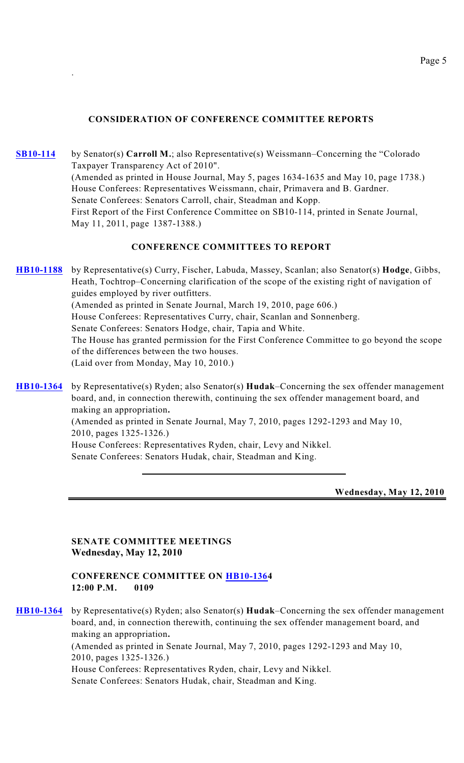## **CONSIDERATION OF CONFERENCE COMMITTEE REPORTS**

.

**[SB10-114](http://www.leg.state.co.us/clics/clics2010a/csl.nsf/fsbillcont3/EE0C5D42BEABCE40872576AB00760D21?Open&file=114_rer.pdf)** by Senator(s) **Carroll M.**; also Representative(s) Weissmann–Concerning the "Colorado Taxpayer Transparency Act of 2010". (Amended as printed in House Journal, May 5, pages 1634-1635 and May 10, page 1738.) House Conferees: Representatives Weissmann, chair, Primavera and B. Gardner. Senate Conferees: Senators Carroll, chair, Steadman and Kopp. First Report of the First Conference Committee on SB10-114, printed in Senate Journal, May 11, 2011, page 1387-1388.)

### **CONFERENCE COMMITTEES TO REPORT**

**[HB10-1188](http://www.leg.state.co.us/clics/clics2010a/csl.nsf/fsbillcont3/4FD1374D97E6422B872576AA00693103?Open&file=1188_rer.pdf)** by Representative(s) Curry, Fischer, Labuda, Massey, Scanlan; also Senator(s) **Hodge**, Gibbs, Heath, Tochtrop–Concerning clarification of the scope of the existing right of navigation of guides employed by river outfitters. (Amended as printed in Senate Journal, March 19, 2010, page 606.) House Conferees: Representatives Curry, chair, Scanlan and Sonnenberg. Senate Conferees: Senators Hodge, chair, Tapia and White. The House has granted permission for the First Conference Committee to go beyond the scope of the differences between the two houses. (Laid over from Monday, May 10, 2010.)

**[HB10-1364](http://www.leg.state.co.us/clics/clics2010a/csl.nsf/fsbillcont3/9D1093E022AF9AB5872576C50057A9DB?Open&file=1364_rer.pdf)** by Representative(s) Ryden; also Senator(s) **Hudak**–Concerning the sex offender management board, and, in connection therewith, continuing the sex offender management board, and making an appropriation**.** (Amended as printed in Senate Journal, May 7, 2010, pages 1292-1293 and May 10, 2010, pages 1325-1326.) House Conferees: Representatives Ryden, chair, Levy and Nikkel. Senate Conferees: Senators Hudak, chair, Steadman and King.

**Wednesday, May 12, 2010**

**SENATE COMMITTEE MEETINGS Wednesday, May 12, 2010**

#### **CONFERENCE COMMITTEE ON [HB10-136](http://www.leg.state.co.us/clics/clics2010a/csl.nsf/fsbillcont3/E1BCEF14BFB7AE6D872576BF0075BAAA?Open&file=1360_rev.pdf)4 12:00 P.M. 0109**

**[HB10-1364](http://www.leg.state.co.us/clics/clics2010a/csl.nsf/fsbillcont3/9D1093E022AF9AB5872576C50057A9DB?Open&file=1364_rer.pdf)** by Representative(s) Ryden; also Senator(s) **Hudak**–Concerning the sex offender management board, and, in connection therewith, continuing the sex offender management board, and making an appropriation**.** (Amended as printed in Senate Journal, May 7, 2010, pages 1292-1293 and May 10, 2010, pages 1325-1326.) House Conferees: Representatives Ryden, chair, Levy and Nikkel. Senate Conferees: Senators Hudak, chair, Steadman and King.